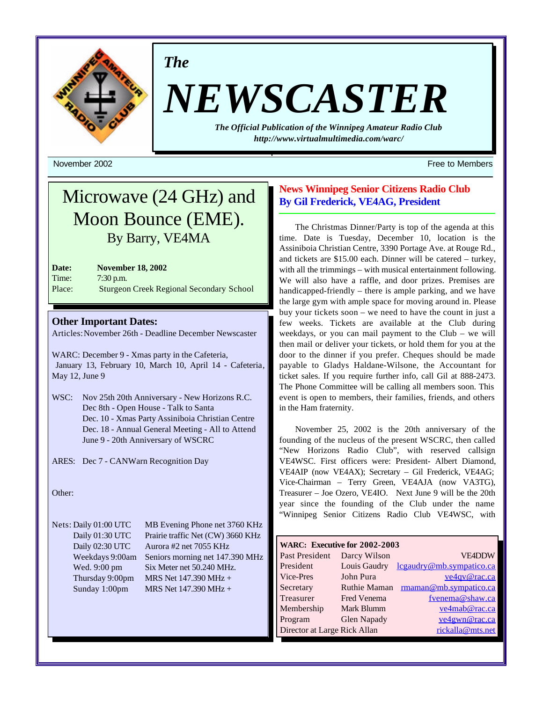

*The*

# *NEWSCASTER*

*The Official Publication of the Winnipeg Amateur Radio Club <http://www.virtualmultimedia.com/warc/>*

November 2002 **Free to Members** Free to Members **Free to Members** 

## Microwave (24 GHz) and Moon Bounce (EME). By Barry, VE4MA

**Date: November 18, 2002** Time: 7:30 p.m. Place: Sturgeon Creek Regional Secondary School

### **Other Important Dates:**

Articles: November 26th - Deadline December Newscaster

WARC: December 9 - Xmas party in the Cafeteria, January 13, February 10, March 10, April 14 - Cafeteria, May 12, June 9

WSC: Nov 25th 20th Anniversary - New Horizons R.C. Dec 8th - Open House - Talk to Santa Dec. 10 - Xmas Party Assiniboia Christian Centre Dec. 18 - Annual General Meeting - All to Attend June 9 - 20th Anniversary of WSCRC

ARES: Dec 7 - CANWarn Recognition Day

Other:

Nets: Daily 01:00 UTC MB Evening Phone net 3760 KHz Daily 01:30 UTC Prairie traffic Net (CW) 3660 KHz Daily 02:30 UTC Aurora #2 net 7055 KHz Weekdays 9:00am Seniors morning net 147.390 MHz Wed. 9:00 pm Six Meter net 50.240 MHz. Thursday 9:00pm MRS Net  $147.390$  MHz + Sunday 1:00pm MRS Net 147.390 MHz +

## **News Winnipeg Senior Citizens Radio Club By Gil Frederick, VE4AG, President**

The Christmas Dinner/Party is top of the agenda at this time. Date is Tuesday, December 10, location is the Assiniboia Christian Centre, 3390 Portage Ave. at Rouge Rd., and tickets are \$15.00 each. Dinner will be catered – turkey, with all the trimmings – with musical entertainment following. We will also have a raffle, and door prizes. Premises are handicapped-friendly – there is ample parking, and we have the large gym with ample space for moving around in. Please buy your tickets soon – we need to have the count in just a few weeks. Tickets are available at the Club during weekdays, or you can mail payment to the Club – we will then mail or deliver your tickets, or hold them for you at the door to the dinner if you prefer. Cheques should be made payable to Gladys Haldane-Wilsone, the Accountant for ticket sales. If you require further info, call Gil at 888-2473. The Phone Committee will be calling all members soon. This event is open to members, their families, friends, and others in the Ham fraternity.

November 25, 2002 is the 20th anniversary of the founding of the nucleus of the present WSCRC, then called "New Horizons Radio Club", with reserved callsign VE4WSC. First officers were: President- Albert Diamond, VE4AIP (now VE4AX); Secretary – Gil Frederick, VE4AG; Vice-Chairman – Terry Green, VE4AJA (now VA3TG), Treasurer – Joe Ozero, VE4IO. Next June 9 will be the 20th year since the founding of the Club under the name "Winnipeg Senior Citizens Radio Club VE4WSC, with

| WARC: Executive for 2002-2003 |                     |                          |  |  |  |  |  |
|-------------------------------|---------------------|--------------------------|--|--|--|--|--|
| Past President                | Darcy Wilson        | <b>VE4DDW</b>            |  |  |  |  |  |
| President                     | Louis Gaudry        | lcgaudry@mb.sympatico.ca |  |  |  |  |  |
| Vice-Pres                     | John Pura           | ve4qv@rac.ca             |  |  |  |  |  |
| Secretary                     | <b>Ruthie Maman</b> | rmaman@mb.sympatico.ca   |  |  |  |  |  |
| Treasurer                     | <b>Fred Venema</b>  | fvenema@shaw.ca          |  |  |  |  |  |
| Membership                    | Mark Blumm          | ve4mab@rac.ca            |  |  |  |  |  |
| Program                       | <b>Glen Napady</b>  | ve4gwn@rac.ca            |  |  |  |  |  |
| Director at Large Rick Allan  |                     | rickalla@mts.net         |  |  |  |  |  |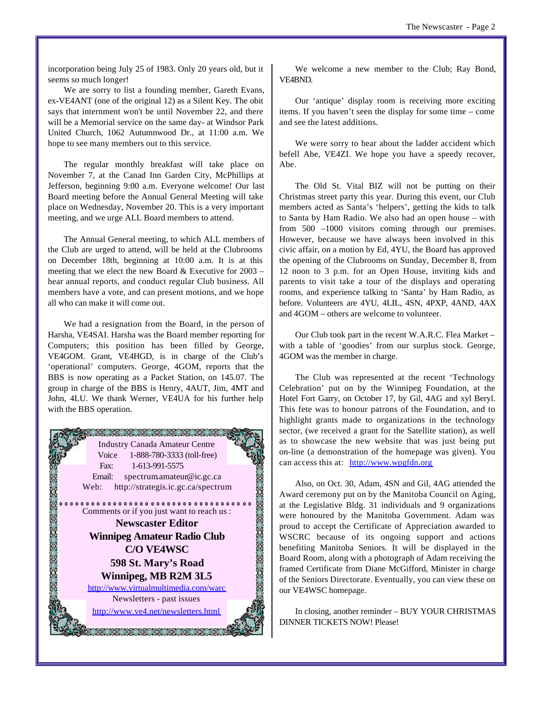incorporation being July 25 of 1983. Only 20 years old, but it seems so much longer!

We are sorry to list a founding member, Gareth Evans, ex-VE4ANT (one of the original 12) as a Silent Key. The obit says that internment won't be until November 22, and there will be a Memorial service on the same day- at Windsor Park United Church, 1062 Autumnwood Dr., at 11:00 a.m. We hope to see many members out to this service.

The regular monthly breakfast will take place on November 7, at the Canad Inn Garden City, McPhillips at Jefferson, beginning 9:00 a.m. Everyone welcome! Our last Board meeting before the Annual General Meeting will take place on Wednesday, November 20. This is a very important meeting, and we urge ALL Board members to attend.

The Annual General meeting, to which ALL members of the Club are urged to attend, will be held at the Clubrooms on December 18th, beginning at 10:00 a.m. It is at this meeting that we elect the new Board  $&$  Executive for 2003 – hear annual reports, and conduct regular Club business. All members have a vote, and can present motions, and we hope all who can make it will come out.

We had a resignation from the Board, in the person of Harsha, VE4SAI. Harsha was the Board member reporting for Computers; this position has been filled by George, VE4GOM. Grant, VE4HGD, is in charge of the Club's 'operational' computers. George, 4GOM, reports that the BBS is now operating as a Packet Station, on 145.07. The group in charge of the BBS is Henry, 4AUT, Jim, 4MT and John, 4LU. We thank Werner, VE4UA for his further help with the BBS operation.



We welcome a new member to the Club; Ray Bond, VE4BND.

Our 'antique' display room is receiving more exciting items. If you haven't seen the display for some time – come and see the latest additions.

We were sorry to hear about the ladder accident which befell Abe, VE4ZI. We hope you have a speedy recover, Abe.

The Old St. Vital BIZ will not be putting on their Christmas street party this year. During this event, our Club members acted as Santa's 'helpers', getting the kids to talk to Santa by Ham Radio. We also had an open house – with from 500 –1000 visitors coming through our premises. However, because we have always been involved in this civic affair, on a motion by Ed, 4YU, the Board has approved the opening of the Clubrooms on Sunday, December 8, from 12 noon to 3 p.m. for an Open House, inviting kids and parents to visit take a tour of the displays and operating rooms, and experience talking to 'Santa' by Ham Radio, as before. Volunteers are 4YU, 4LIL, 4SN, 4PXP, 4AND, 4AX and 4GOM – others are welcome to volunteer.

Our Club took part in the recent W.A.R.C. Flea Market – with a table of 'goodies' from our surplus stock. George, 4GOM was the member in charge.

The Club was represented at the recent 'Technology Celebration' put on by the Winnipeg Foundation, at the Hotel Fort Garry, on October 17, by Gil, 4AG and xyl Beryl. This fete was to honour patrons of the Foundation, and to highlight grants made to organizations in the technology sector, (we received a grant for the Satellite station), as well as to showcase the new website that was just being put on-line (a demonstration of the homepage was given). You can access this at: <http://www.wpgfdn.org>

Also, on Oct. 30, Adam, 4SN and Gil, 4AG attended the Award ceremony put on by the Manitoba Council on Aging, at the Legislative Bldg. 31 individuals and 9 organizations were honoured by the Manitoba Government. Adam was proud to accept the Certificate of Appreciation awarded to WSCRC because of its ongoing support and actions benefiting Manitoba Seniors. It will be displayed in the Board Room, along with a photograph of Adam receiving the framed Certificate from Diane McGifford, Minister in charge of the Seniors Directorate. Eventually, you can view these on our VE4WSC homepage.

In closing, another reminder – BUY YOUR CHRISTMAS DINNER TICKETS NOW! Please!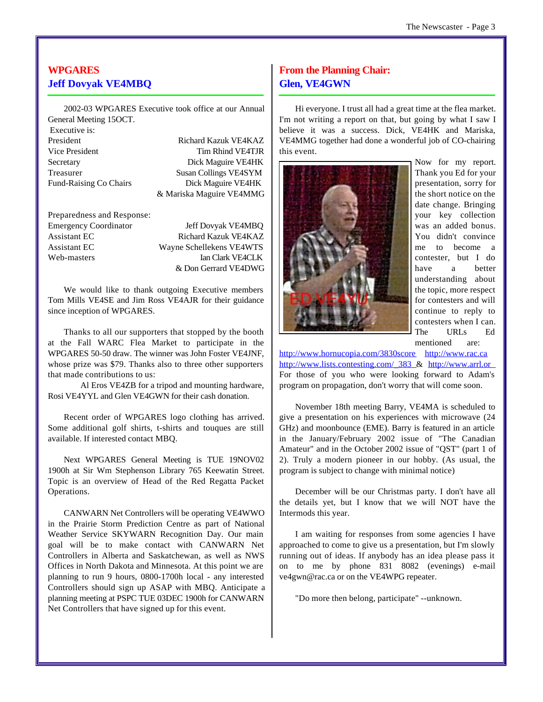## **WPGARES Jeff Dovyak VE4MBQ**

2002-03 WPGARES Executive took office at our Annual General Meeting 15OCT.

Executive is:

President Richard Kazuk VE4KAZ Vice President Tim Rhind VE4TJR Secretary Dick Maguire VE4HK Treasurer Susan Collings VE4SYM Fund-Raising Co Chairs Dick Maguire VE4HK & Mariska Maguire VE4MMG

Preparedness and Response: Emergency Coordinator Jeff Dovyak VE4MBQ Assistant EC Richard Kazuk VE4KAZ Assistant EC Wayne Schellekens VE4WTS Web-masters Ian Clark VE4CLK

& Don Gerrard VE4DWG

We would like to thank outgoing Executive members Tom Mills VE4SE and Jim Ross VE4AJR for their guidance since inception of WPGARES.

Thanks to all our supporters that stopped by the booth at the Fall WARC Flea Market to participate in the WPGARES 50-50 draw. The winner was John Foster VE4JNF, whose prize was \$79. Thanks also to three other supporters that made contributions to us:

Al Eros VE4ZB for a tripod and mounting hardware, Rosi VE4YYL and Glen VE4GWN for their cash donation.

Recent order of WPGARES logo clothing has arrived. Some additional golf shirts, t-shirts and touques are still available. If interested contact MBQ.

Next WPGARES General Meeting is TUE 19NOV02 1900h at Sir Wm Stephenson Library 765 Keewatin Street. Topic is an overview of Head of the Red Regatta Packet Operations.

CANWARN Net Controllers will be operating VE4WWO in the Prairie Storm Prediction Centre as part of National Weather Service SKYWARN Recognition Day. Our main goal will be to make contact with CANWARN Net Controllers in Alberta and Saskatchewan, as well as NWS Offices in North Dakota and Minnesota. At this point we are planning to run 9 hours, 0800-1700h local - any interested Controllers should sign up ASAP with MBQ. Anticipate a planning meeting at PSPC TUE 03DEC 1900h for CANWARN Net Controllers that have signed up for this event.

## **From the Planning Chair: Glen, VE4GWN**

Hi everyone. I trust all had a great time at the flea market. I'm not writing a report on that, but going by what I saw I believe it was a success. Dick, VE4HK and Mariska, VE4MMG together had done a wonderful job of CO-chairing this event.



Now for my report. Thank you Ed for your presentation, sorry for the short notice on the date change. Bringing your key collection was an added bonus. You didn't convince me to become a contester, but I do have a better understanding about the topic, more respect for contesters and will continue to reply to contesters when I can. The URLs Ed mentioned are:

<http://www.hornucopia.com/3830score> <http://www.rac.ca> [http://www.lists.contesting.com/\\_383](http://www.lists.contesting.com/_383) & <http://www.arrl.or> For those of you who were looking forward to Adam's program on propagation, don't worry that will come soon.

November 18th meeting Barry, VE4MA is scheduled to give a presentation on his experiences with microwave (24 GHz) and moonbounce (EME). Barry is featured in an article in the January/February 2002 issue of "The Canadian Amateur" and in the October 2002 issue of "QST" (part 1 of 2). Truly a modern pioneer in our hobby. (As usual, the program is subject to change with minimal notice)

December will be our Christmas party. I don't have all the details yet, but I know that we will NOT have the Intermods this year.

I am waiting for responses from some agencies I have approached to come to give us a presentation, but I'm slowly running out of ideas. If anybody has an idea please pass it on to me by phone 831 8082 (evenings) e-mail ve4gwn@rac.ca or on the VE4WPG repeater.

"Do more then belong, participate" --unknown.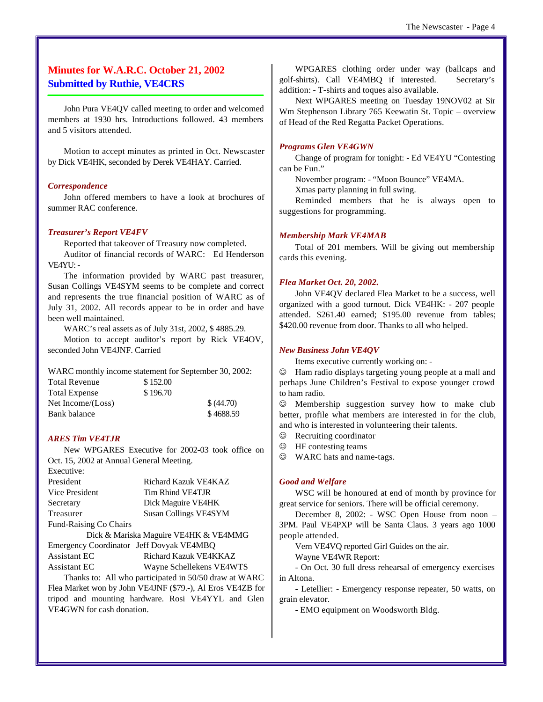## **Minutes for W.A.R.C. October 21, 2002 Submitted by Ruthie, VE4CRS**

John Pura VE4QV called meeting to order and welcomed members at 1930 hrs. Introductions followed. 43 members and 5 visitors attended.

Motion to accept minutes as printed in Oct. Newscaster by Dick VE4HK, seconded by Derek VE4HAY. Carried.

#### *Correspondence*

John offered members to have a look at brochures of summer RAC conference.

#### *Treasurer's Report VE4FV*

Reported that takeover of Treasury now completed.

Auditor of financial records of WARC: Ed Henderson VE4YU: -

The information provided by WARC past treasurer, Susan Collings VE4SYM seems to be complete and correct and represents the true financial position of WARC as of July 31, 2002. All records appear to be in order and have been well maintained.

WARC's real assets as of July 31st, 2002, \$ 4885.29.

Motion to accept auditor's report by Rick VE4OV, seconded John VE4JNF. Carried

WARC monthly income statement for September 30, 2002: Total Revenue \$152.00 Total Expense \$196.70 Net Income/(Loss)  $$ (44.70)$ Bank balance \$ 4688.59

#### *ARES Tim VE4TJR*

New WPGARES Executive for 2002-03 took office on Oct. 15, 2002 at Annual General Meeting.

| Executive:                    |                                       |
|-------------------------------|---------------------------------------|
| President                     | Richard Kazuk VE4KAZ                  |
| Vice President                | Tim Rhind VE4TJR                      |
| Secretary                     | Dick Maguire VE4HK                    |
| Treasurer                     | Susan Collings VE4SYM                 |
| <b>Fund-Raising Co Chairs</b> |                                       |
|                               | Dick & Mariska Maguire VE4HK & VE4MMG |

Emergency Coordinator Jeff Dovyak VE4MBQ Assistant EC Richard Kazuk VE4KKAZ Assistant EC Wayne Schellekens VE4WTS

Thanks to: All who participated in 50/50 draw at WARC Flea Market won by John VE4JNF (\$79.-), Al Eros VE4ZB for tripod and mounting hardware. Rosi VE4YYL and Glen VE4GWN for cash donation.

WPGARES clothing order under way (ballcaps and golf-shirts). Call VE4MBQ if interested. Secretary's addition: - T-shirts and toques also available.

Next WPGARES meeting on Tuesday 19NOV02 at Sir Wm Stephenson Library 765 Keewatin St. Topic – overview of Head of the Red Regatta Packet Operations.

#### *Programs Glen VE4GWN*

Change of program for tonight: - Ed VE4YU "Contesting can be Fun."

November program: - "Moon Bounce" VE4MA.

Xmas party planning in full swing.

Reminded members that he is always open to suggestions for programming.

#### *Membership Mark VE4MAB*

Total of 201 members. Will be giving out membership cards this evening.

#### *Flea Market Oct. 20, 2002.*

John VE4QV declared Flea Market to be a success, well organized with a good turnout. Dick VE4HK: - 207 people attended. \$261.40 earned; \$195.00 revenue from tables; \$420.00 revenue from door. Thanks to all who helped.

#### *New Business John VE4QV*

Items executive currently working on: -

Ham radio displays targeting young people at a mall and perhaps June Children's Festival to expose younger crowd to ham radio.

 $\odot$  Membership suggestion survey how to make club better, profile what members are interested in for the club, and who is interested in volunteering their talents.

 $\odot$  Recruiting coordinator

 $\circledcirc$  HF contesting teams

 $\odot$  WARC hats and name-tags.

#### *Good and Welfare*

WSC will be honoured at end of month by province for great service for seniors. There will be official ceremony.

December 8, 2002: - WSC Open House from noon – 3PM. Paul VE4PXP will be Santa Claus. 3 years ago 1000 people attended.

Vern VE4VQ reported Girl Guides on the air.

Wayne VE4WR Report:

- On Oct. 30 full dress rehearsal of emergency exercises in Altona.

- Letellier: - Emergency response repeater, 50 watts, on grain elevator.

- EMO equipment on Woodsworth Bldg.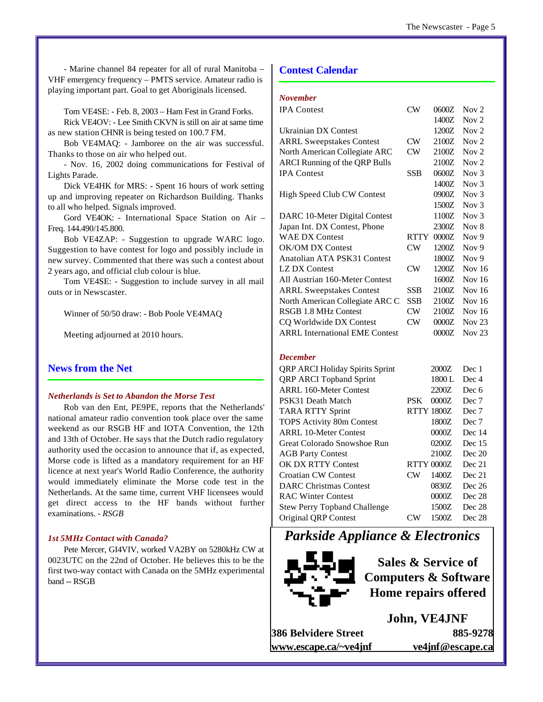- Marine channel 84 repeater for all of rural Manitoba – VHF emergency frequency – PMTS service. Amateur radio is playing important part. Goal to get Aboriginals licensed.

Tom VE4SE: - Feb. 8, 2003 – Ham Fest in Grand Forks.

Rick VE4OV: - Lee Smith CKVN is still on air at same time as new station CHNR is being tested on 100.7 FM.

Bob VE4MAQ: - Jamboree on the air was successful. Thanks to those on air who helped out.

- Nov. 16, 2002 doing communications for Festival of Lights Parade.

Dick VE4HK for MRS: - Spent 16 hours of work setting up and improving repeater on Richardson Building. Thanks to all who helped. Signals improved.

Gord VE4OK: - International Space Station on Air – Freq. 144.490/145.800.

Bob VE4ZAP: - Suggestion to upgrade WARC logo. Suggestion to have contest for logo and possibly include in new survey. Commented that there was such a contest about 2 years ago, and official club colour is blue.

Tom VE4SE: - Suggestion to include survey in all mail outs or in Newscaster.

Winner of 50/50 draw: - Bob Poole VE4MAQ

Meeting adjourned at 2010 hours.

#### **News from the Net**

#### *Netherlands is Set to Abandon the Morse Test*

Rob van den Ent, PE9PE, reports that the Netherlands' national amateur radio convention took place over the same weekend as our RSGB HF and IOTA Convention, the 12th and 13th of October. He says that the Dutch radio regulatory authority used the occasion to announce that if, as expected, Morse code is lifted as a mandatory requirement for an HF licence at next year's World Radio Conference, the authority would immediately eliminate the Morse code test in the Netherlands. At the same time, current VHF licensees would get direct access to the HF bands without further examinations. *- RSGB*

#### *1st 5MHz Contact with Canada?*

Pete Mercer, GI4VIV, worked VA2BY on 5280kHz CW at 0023UTC on the 22nd of October. He believes this to be the first two-way contact with Canada on the 5MHz experimental band -- RSGB

#### **Contest Calendar**

#### *November*

| $\rm CW$               | 0600Z | Nov $2$          |
|------------------------|-------|------------------|
|                        | 1400Z | Nov $2$          |
|                        | 1200Z | Nov $2$          |
| CW                     | 2100Z | Nov $2$          |
| CW                     | 2100Z | Nov $2$          |
|                        | 2100Z | Nov $2$          |
| <b>SSB</b>             | 0600Z | Nov $3$          |
|                        | 1400Z | Nov $3$          |
|                        | 0900Z | Nov $3$          |
|                        | 1500Z | Nov $3$          |
|                        | 1100Z | Nov $3$          |
|                        | 2300Z | Nov 8            |
| <b>RTTY</b>            | 0000Z | Nov <sub>9</sub> |
| $\rm CW$               | 1200Z | Nov $9$          |
|                        | 1800Z | Nov $9$          |
| $\mathbf{C}\mathbf{W}$ | 1200Z | Nov $16$         |
|                        | 1600Z | Nov 16           |
| <b>SSB</b>             | 2100Z | Nov $16$         |
| <b>SSB</b>             | 2100Z | Nov 16           |
| $\rm CW$               | 2100Z | Nov $16$         |
| CW                     | 0000Z | Nov $23$         |
|                        | 0000Z | Nov $23$         |
|                        |       |                  |

#### *December*

| <b>QRP ARCI Holiday Spirits Sprint</b> |                | 2000Z             | Dec 1    |
|----------------------------------------|----------------|-------------------|----------|
| <b>QRP ARCI Topband Sprint</b>         |                | 1800L             | Dec 4    |
| ARRL 160-Meter Contest                 |                | 2200Z             | Dec 6    |
| PSK31 Death Match                      | PSK            | 0000Z             | Dec 7    |
| <b>TARA RTTY Sprint</b>                |                | <b>RTTY 1800Z</b> | Dec 7    |
| <b>TOPS</b> Activity 80m Contest       |                | 1800Z             | Dec 7    |
| <b>ARRL 10-Meter Contest</b>           |                | 0000Z             | Dec 14   |
| Great Colorado Snowshoe Run            |                | 0200Z             | Dec $15$ |
| <b>AGB Party Contest</b>               |                | 2100Z             | Dec 20   |
| <b>OK DX RTTY Contest</b>              |                | <b>RTTY 0000Z</b> | Dec 21   |
| <b>Croatian CW Contest</b>             | CW <sub></sub> | 1400Z             | Dec 21   |
| <b>DARC</b> Christmas Contest          |                | 0830Z             | Dec 26   |
| <b>RAC Winter Contest</b>              |                | 0000Z             | Dec 28   |
| <b>Stew Perry Topband Challenge</b>    |                | 1500Z             | Dec 28   |
| Original ORP Contest                   | W              | 1500Z             | Dec 28   |
|                                        |                |                   |          |

*Parkside Appliance & Electronics*



**Sales & Service of Computers & Software Home repairs offered**

**John, VE4JNF 386 Belvidere Street 885-9278 www.escape.ca/~ve4jnf ve4jnf@escape.ca**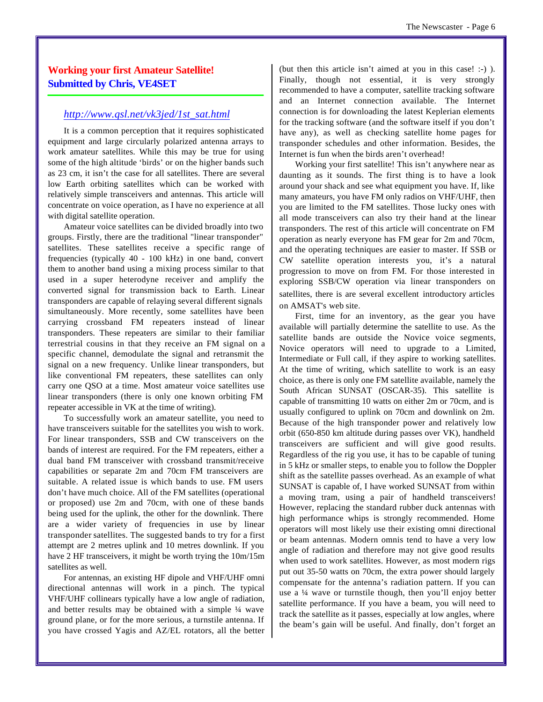## **Working your first Amateur Satellite! Submitted by Chris, VE4SET**

#### *[http://www.qsl.net/vk3jed/1st\\_sat.html](http://www.qsl.net/vk3jed/1st_sat.html)*

It is a common perception that it requires sophisticated equipment and large circularly polarized antenna arrays to work amateur satellites. While this may be true for using some of the high altitude 'birds' or on the higher bands such as 23 cm, it isn't the case for all satellites. There are several low Earth orbiting satellites which can be worked with relatively simple transceivers and antennas. This article will concentrate on voice operation, as I have no experience at all with digital satellite operation.

Amateur voice satellites can be divided broadly into two groups. Firstly, there are the traditional "linear transponder" satellites. These satellites receive a specific range of frequencies (typically 40 - 100 kHz) in one band, convert them to another band using a mixing process similar to that used in a super heterodyne receiver and amplify the converted signal for transmission back to Earth. Linear transponders are capable of relaying several different signals simultaneously. More recently, some satellites have been carrying crossband FM repeaters instead of linear transponders. These repeaters are similar to their familiar terrestrial cousins in that they receive an FM signal on a specific channel, demodulate the signal and retransmit the signal on a new frequency. Unlike linear transponders, but like conventional FM repeaters, these satellites can only carry one QSO at a time. Most amateur voice satellites use linear transponders (there is only one known orbiting FM repeater accessible in VK at the time of writing).

To successfully work an amateur satellite, you need to have transceivers suitable for the satellites you wish to work. For linear transponders, SSB and CW transceivers on the bands of interest are required. For the FM repeaters, either a dual band FM transceiver with crossband transmit/receive capabilities or separate 2m and 70cm FM transceivers are suitable. A related issue is which bands to use. FM users don't have much choice. All of the FM satellites (operational or proposed) use 2m and 70cm, with one of these bands being used for the uplink, the other for the downlink. There are a wider variety of frequencies in use by linear transponder satellites. The suggested bands to try for a first attempt are 2 metres uplink and 10 metres downlink. If you have 2 HF transceivers, it might be worth trying the 10m/15m satellites as well.

For antennas, an existing HF dipole and VHF/UHF omni directional antennas will work in a pinch. The typical VHF/UHF collinears typically have a low angle of radiation, and better results may be obtained with a simple ¼ wave ground plane, or for the more serious, a turnstile antenna. If you have crossed Yagis and AZ/EL rotators, all the better (but then this article isn't aimed at you in this case! :-) ). Finally, though not essential, it is very strongly recommended to have a computer, satellite tracking software and an Internet connection available. The Internet connection is for downloading the latest Keplerian elements for the tracking software (and the software itself if you don't have any), as well as checking satellite home pages for transponder schedules and other information. Besides, the Internet is fun when the birds aren't overhead!

Working your first satellite! This isn't anywhere near as daunting as it sounds. The first thing is to have a look around your shack and see what equipment you have. If, like many amateurs, you have FM only radios on VHF/UHF, then you are limited to the FM satellites. Those lucky ones with all mode transceivers can also try their hand at the linear transponders. The rest of this article will concentrate on FM operation as nearly everyone has FM gear for 2m and 70cm, and the operating techniques are easier to master. If SSB or CW satellite operation interests you, it's a natural progression to move on from FM. For those interested in exploring SSB/CW operation via linear transponders on satellites, there is are several excellent introductory articles on AMSAT's web site.

First, time for an inventory, as the gear you have available will partially determine the satellite to use. As the satellite bands are outside the Novice voice segments, Novice operators will need to upgrade to a Limited, Intermediate or Full call, if they aspire to working satellites. At the time of writing, which satellite to work is an easy choice, as there is only one FM satellite available, namely the South African SUNSAT (OSCAR-35). This satellite is capable of transmitting 10 watts on either 2m or 70cm, and is usually configured to uplink on 70cm and downlink on 2m. Because of the high transponder power and relatively low orbit (650-850 km altitude during passes over VK), handheld transceivers are sufficient and will give good results. Regardless of the rig you use, it has to be capable of tuning in 5 kHz or smaller steps, to enable you to follow the Doppler shift as the satellite passes overhead. As an example of what SUNSAT is capable of, I have worked SUNSAT from within a moving tram, using a pair of handheld transceivers! However, replacing the standard rubber duck antennas with high performance whips is strongly recommended. Home operators will most likely use their existing omni directional or beam antennas. Modern omnis tend to have a very low angle of radiation and therefore may not give good results when used to work satellites. However, as most modern rigs put out 35-50 watts on 70cm, the extra power should largely compensate for the antenna's radiation pattern. If you can use a ¼ wave or turnstile though, then you'll enjoy better satellite performance. If you have a beam, you will need to track the satellite as it passes, especially at low angles, where the beam's gain will be useful. And finally, don't forget an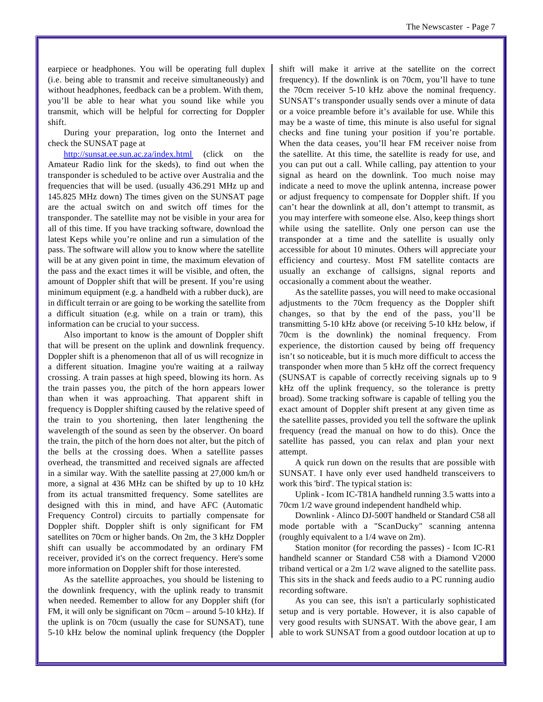earpiece or headphones. You will be operating full duplex (i.e. being able to transmit and receive simultaneously) and without headphones, feedback can be a problem. With them, you'll be able to hear what you sound like while you transmit, which will be helpful for correcting for Doppler shift.

During your preparation, log onto the Internet and check the SUNSAT page at

<http://sunsat.ee.sun.ac.za/index.html> (click on the Amateur Radio link for the skeds), to find out when the transponder is scheduled to be active over Australia and the frequencies that will be used. (usually 436.291 MHz up and 145.825 MHz down) The times given on the SUNSAT page are the actual switch on and switch off times for the transponder. The satellite may not be visible in your area for all of this time. If you have tracking software, download the latest Keps while you're online and run a simulation of the pass. The software will allow you to know where the satellite will be at any given point in time, the maximum elevation of the pass and the exact times it will be visible, and often, the amount of Doppler shift that will be present. If you're using minimum equipment (e.g. a handheld with a rubber duck), are in difficult terrain or are going to be working the satellite from a difficult situation (e.g. while on a train or tram), this information can be crucial to your success.

Also important to know is the amount of Doppler shift that will be present on the uplink and downlink frequency. Doppler shift is a phenomenon that all of us will recognize in a different situation. Imagine you're waiting at a railway crossing. A train passes at high speed, blowing its horn. As the train passes you, the pitch of the horn appears lower than when it was approaching. That apparent shift in frequency is Doppler shifting caused by the relative speed of the train to you shortening, then later lengthening the wavelength of the sound as seen by the observer. On board the train, the pitch of the horn does not alter, but the pitch of the bells at the crossing does. When a satellite passes overhead, the transmitted and received signals are affected in a similar way. With the satellite passing at 27,000 km/h or more, a signal at 436 MHz can be shifted by up to 10 kHz from its actual transmitted frequency. Some satellites are designed with this in mind, and have AFC (Automatic Frequency Control) circuits to partially compensate for Doppler shift. Doppler shift is only significant for FM satellites on 70cm or higher bands. On 2m, the 3 kHz Doppler shift can usually be accommodated by an ordinary FM receiver, provided it's on the correct frequency. Here's some more information on Doppler shift for those interested.

As the satellite approaches, you should be listening to the downlink frequency, with the uplink ready to transmit when needed. Remember to allow for any Doppler shift (for FM, it will only be significant on 70cm – around 5-10 kHz). If the uplink is on 70cm (usually the case for SUNSAT), tune 5-10 kHz below the nominal uplink frequency (the Doppler shift will make it arrive at the satellite on the correct frequency). If the downlink is on 70cm, you'll have to tune the 70cm receiver 5-10 kHz above the nominal frequency. SUNSAT's transponder usually sends over a minute of data or a voice preamble before it's available for use. While this may be a waste of time, this minute is also useful for signal checks and fine tuning your position if you're portable. When the data ceases, you'll hear FM receiver noise from the satellite. At this time, the satellite is ready for use, and you can put out a call. While calling, pay attention to your signal as heard on the downlink. Too much noise may indicate a need to move the uplink antenna, increase power or adjust frequency to compensate for Doppler shift. If you can't hear the downlink at all, don't attempt to transmit, as you may interfere with someone else. Also, keep things short while using the satellite. Only one person can use the transponder at a time and the satellite is usually only accessible for about 10 minutes. Others will appreciate your efficiency and courtesy. Most FM satellite contacts are usually an exchange of callsigns, signal reports and occasionally a comment about the weather.

As the satellite passes, you will need to make occasional adjustments to the 70cm frequency as the Doppler shift changes, so that by the end of the pass, you'll be transmitting 5-10 kHz above (or receiving 5-10 kHz below, if 70cm is the downlink) the nominal frequency. From experience, the distortion caused by being off frequency isn't so noticeable, but it is much more difficult to access the transponder when more than 5 kHz off the correct frequency (SUNSAT is capable of correctly receiving signals up to 9 kHz off the uplink frequency, so the tolerance is pretty broad). Some tracking software is capable of telling you the exact amount of Doppler shift present at any given time as the satellite passes, provided you tell the software the uplink frequency (read the manual on how to do this). Once the satellite has passed, you can relax and plan your next attempt.

A quick run down on the results that are possible with SUNSAT. I have only ever used handheld transceivers to work this 'bird'. The typical station is:

Uplink - Icom IC-T81A handheld running 3.5 watts into a 70cm 1/2 wave ground independent handheld whip.

Downlink - Alinco DJ-500T handheld or Standard C58 all mode portable with a "ScanDucky" scanning antenna (roughly equivalent to a 1/4 wave on 2m).

Station monitor (for recording the passes) - Icom IC-R1 handheld scanner or Standard C58 with a Diamond V2000 triband vertical or a 2m 1/2 wave aligned to the satellite pass. This sits in the shack and feeds audio to a PC running audio recording software.

As you can see, this isn't a particularly sophisticated setup and is very portable. However, it is also capable of very good results with SUNSAT. With the above gear, I am able to work SUNSAT from a good outdoor location at up to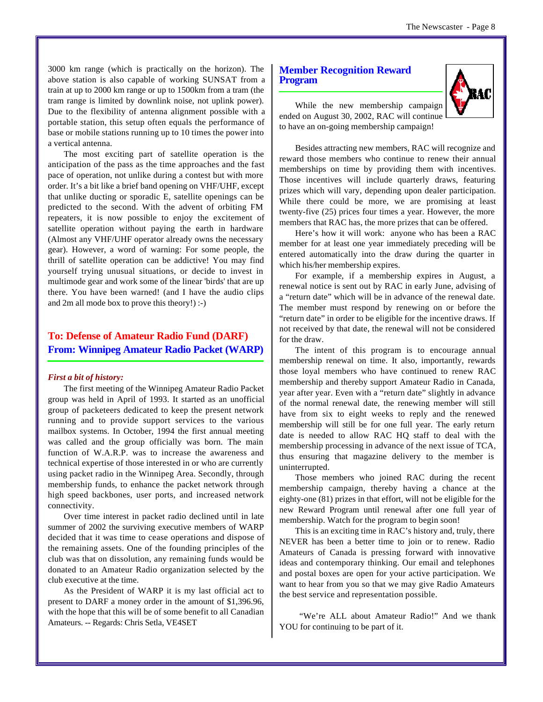3000 km range (which is practically on the horizon). The above station is also capable of working SUNSAT from a train at up to 2000 km range or up to 1500km from a tram (the tram range is limited by downlink noise, not uplink power). Due to the flexibility of antenna alignment possible with a portable station, this setup often equals the performance of base or mobile stations running up to 10 times the power into a vertical antenna.

The most exciting part of satellite operation is the anticipation of the pass as the time approaches and the fast pace of operation, not unlike during a contest but with more order. It's a bit like a brief band opening on VHF/UHF, except that unlike ducting or sporadic E, satellite openings can be predicted to the second. With the advent of orbiting FM repeaters, it is now possible to enjoy the excitement of satellite operation without paying the earth in hardware (Almost any VHF/UHF operator already owns the necessary gear). However, a word of warning: For some people, the thrill of satellite operation can be addictive! You may find yourself trying unusual situations, or decide to invest in multimode gear and work some of the linear 'birds' that are up there. You have been warned! (and I have the audio clips and 2m all mode box to prove this theory!) :-)

## **To: Defense of Amateur Radio Fund (DARF) From: Winnipeg Amateur Radio Packet (WARP)**

#### *First a bit of history:*

The first meeting of the Winnipeg Amateur Radio Packet group was held in April of 1993. It started as an unofficial group of packeteers dedicated to keep the present network running and to provide support services to the various mailbox systems. In October, 1994 the first annual meeting was called and the group officially was born. The main function of W.A.R.P. was to increase the awareness and technical expertise of those interested in or who are currently using packet radio in the Winnipeg Area. Secondly, through membership funds, to enhance the packet network through high speed backbones, user ports, and increased network connectivity.

Over time interest in packet radio declined until in late summer of 2002 the surviving executive members of WARP decided that it was time to cease operations and dispose of the remaining assets. One of the founding principles of the club was that on dissolution, any remaining funds would be donated to an Amateur Radio organization selected by the club executive at the time.

As the President of WARP it is my last official act to present to DARF a money order in the amount of \$1,396.96, with the hope that this will be of some benefit to all Canadian Amateurs. -- Regards: Chris Setla, VE4SET

#### **Member Recognition Reward Program**



While the new membership campaign ended on August 30, 2002, RAC will continue to have an on-going membership campaign!

Besides attracting new members, RAC will recognize and reward those members who continue to renew their annual memberships on time by providing them with incentives. Those incentives will include quarterly draws, featuring prizes which will vary, depending upon dealer participation. While there could be more, we are promising at least twenty-five (25) prices four times a year. However, the more members that RAC has, the more prizes that can be offered.

Here's how it will work: anyone who has been a RAC member for at least one year immediately preceding will be entered automatically into the draw during the quarter in which his/her membership expires.

For example, if a membership expires in August, a renewal notice is sent out by RAC in early June, advising of a "return date" which will be in advance of the renewal date. The member must respond by renewing on or before the "return date" in order to be eligible for the incentive draws. If not received by that date, the renewal will not be considered for the draw.

The intent of this program is to encourage annual membership renewal on time. It also, importantly, rewards those loyal members who have continued to renew RAC membership and thereby support Amateur Radio in Canada, year after year. Even with a "return date" slightly in advance of the normal renewal date, the renewing member will still have from six to eight weeks to reply and the renewed membership will still be for one full year. The early return date is needed to allow RAC HQ staff to deal with the membership processing in advance of the next issue of TCA, thus ensuring that magazine delivery to the member is uninterrupted.

Those members who joined RAC during the recent membership campaign, thereby having a chance at the eighty-one (81) prizes in that effort, will not be eligible for the new Reward Program until renewal after one full year of membership. Watch for the program to begin soon!

This is an exciting time in RAC's history and, truly, there NEVER has been a better time to join or to renew. Radio Amateurs of Canada is pressing forward with innovative ideas and contemporary thinking. Our email and telephones and postal boxes are open for your active participation. We want to hear from you so that we may give Radio Amateurs the best service and representation possible.

 "We're ALL about Amateur Radio!" And we thank YOU for continuing to be part of it.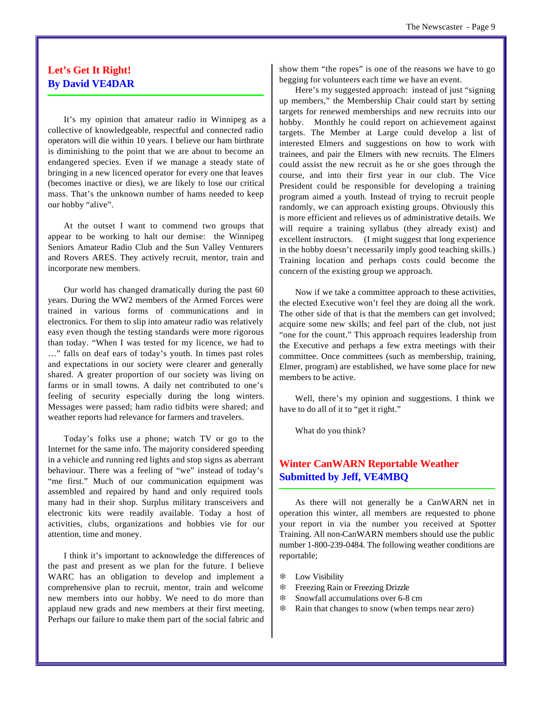## **Let's Get It Right! By David VE4DAR**

It's my opinion that amateur radio in Winnipeg as a collective of knowledgeable, respectful and connected radio operators will die within 10 years. I believe our ham birthrate is diminishing to the point that we are about to become an endangered species. Even if we manage a steady state of bringing in a new licenced operator for every one that leaves (becomes inactive or dies), we are likely to lose our critical mass. That's the unknown number of hams needed to keep our hobby "alive".

At the outset I want to commend two groups that appear to be working to halt our demise: the Winnipeg Seniors Amateur Radio Club and the Sun Valley Venturers and Rovers ARES. They actively recruit, mentor, train and incorporate new members.

Our world has changed dramatically during the past 60 years. During the WW2 members of the Armed Forces were trained in various forms of communications and in electronics. For them to slip into amateur radio was relatively easy even though the testing standards were more rigorous than today. "When I was tested for my licence, we had to …" falls on deaf ears of today's youth. In times past roles and expectations in our society were clearer and generally shared. A greater proportion of our society was living on farms or in small towns. A daily net contributed to one's feeling of security especially during the long winters. Messages were passed; ham radio tidbits were shared; and weather reports had relevance for farmers and travelers.

Today's folks use a phone; watch TV or go to the Internet for the same info. The majority considered speeding in a vehicle and running red lights and stop signs as aberrant behaviour. There was a feeling of "we" instead of today's "me first." Much of our communication equipment was assembled and repaired by hand and only required tools many had in their shop. Surplus military transceivers and electronic kits were readily available. Today a host of activities, clubs, organizations and hobbies vie for our attention, time and money.

I think it's important to acknowledge the differences of the past and present as we plan for the future. I believe WARC has an obligation to develop and implement a comprehensive plan to recruit, mentor, train and welcome new members into our hobby. We need to do more than applaud new grads and new members at their first meeting. Perhaps our failure to make them part of the social fabric and

show them "the ropes" is one of the reasons we have to go begging for volunteers each time we have an event.

Here's my suggested approach: instead of just "signing up members," the Membership Chair could start by setting targets for renewed memberships and new recruits into our hobby. Monthly he could report on achievement against targets. The Member at Large could develop a list of interested Elmers and suggestions on how to work with trainees, and pair the Elmers with new recruits. The Elmers could assist the new recruit as he or she goes through the course, and into their first year in our club. The Vice President could be responsible for developing a training program aimed a youth. Instead of trying to recruit people randomly, we can approach existing groups. Obviously this is more efficient and relieves us of administrative details. We will require a training syllabus (they already exist) and excellent instructors. (I might suggest that long experience in the hobby doesn't necessarily imply good teaching skills.) Training location and perhaps costs could become the concern of the existing group we approach.

Now if we take a committee approach to these activities, the elected Executive won't feel they are doing all the work. The other side of that is that the members can get involved; acquire some new skills; and feel part of the club, not just "one for the count." This approach requires leadership from the Executive and perhaps a few extra meetings with their committee. Once committees (such as membership, training, Elmer, program) are established, we have some place for new members to be active.

Well, there's my opinion and suggestions. I think we have to do all of it to "get it right."

What do you think?

## **Winter CanWARN Reportable Weather Submitted by Jeff, VE4MBQ**

As there will not generally be a CanWARN net in operation this winter, all members are requested to phone your report in via the number you received at Spotter Training. All non-CanWARN members should use the public number 1-800-239-0484. The following weather conditions are reportable;

- *S* Low Visibility
- **Example 28 Freezing Drizzle** Streezing Drizzle
- **EXECUTE:** Snowfall accumulations over 6-8 cm
- $\textcircled{*}$  Rain that changes to snow (when temps near zero)